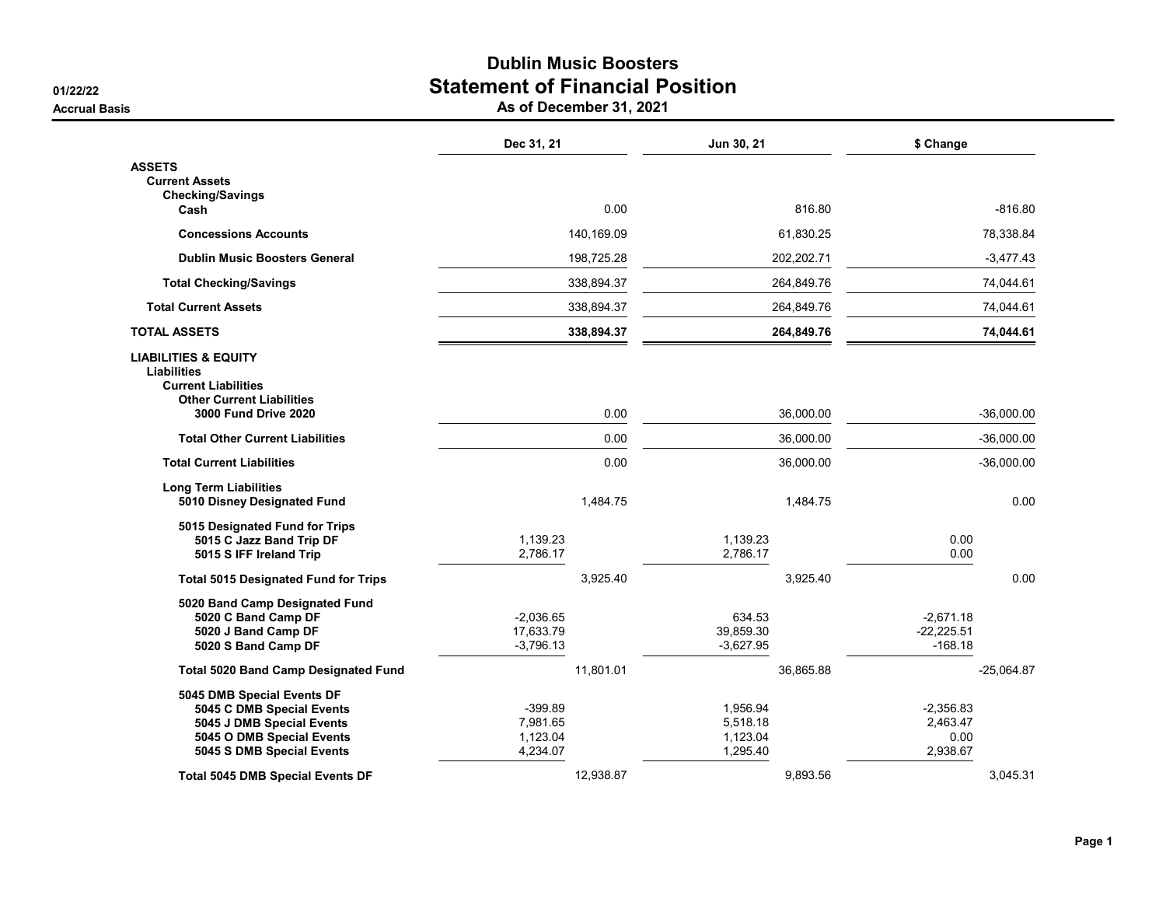## Dublin Music Boosters 01/22/22<br> **Statement of Financial Position**<br>
As of December 31, 2021

**Accrual Basis** 

|  |  |  |  |  |  | As of December 31, 202 |
|--|--|--|--|--|--|------------------------|
|--|--|--|--|--|--|------------------------|

|                                                       | Dec 31, 21           | Jun 30, 21           | \$ Change    |  |
|-------------------------------------------------------|----------------------|----------------------|--------------|--|
| <b>ASSETS</b>                                         |                      |                      |              |  |
| <b>Current Assets</b><br><b>Checking/Savings</b>      |                      |                      |              |  |
| Cash                                                  | 0.00                 | 816.80               | $-816.80$    |  |
| <b>Concessions Accounts</b>                           | 140,169.09           | 61,830.25            | 78,338.84    |  |
| <b>Dublin Music Boosters General</b>                  | 198,725.28           | 202,202.71           | $-3,477.43$  |  |
| <b>Total Checking/Savings</b>                         | 338,894.37           | 264,849.76           | 74,044.61    |  |
| <b>Total Current Assets</b>                           | 338,894.37           | 264,849.76           | 74,044.61    |  |
| <b>TOTAL ASSETS</b>                                   | 338,894.37           | 264,849.76           | 74,044.61    |  |
| <b>LIABILITIES &amp; EQUITY</b>                       |                      |                      |              |  |
| Liabilities<br><b>Current Liabilities</b>             |                      |                      |              |  |
| <b>Other Current Liabilities</b>                      |                      |                      |              |  |
| 3000 Fund Drive 2020                                  | 0.00                 | 36,000.00            | $-36,000.00$ |  |
| <b>Total Other Current Liabilities</b>                | 0.00                 | 36,000.00            | $-36,000.00$ |  |
| <b>Total Current Liabilities</b>                      | 0.00                 | 36,000.00            | $-36,000.00$ |  |
| <b>Long Term Liabilities</b>                          |                      |                      |              |  |
| 5010 Disney Designated Fund                           | 1,484.75             | 1,484.75             | 0.00         |  |
| 5015 Designated Fund for Trips                        |                      |                      |              |  |
| 5015 C Jazz Band Trip DF<br>5015 S IFF Ireland Trip   | 1,139.23<br>2,786.17 | 1,139.23<br>2,786.17 | 0.00<br>0.00 |  |
| <b>Total 5015 Designated Fund for Trips</b>           | 3,925.40             | 3,925.40             | 0.00         |  |
|                                                       |                      |                      |              |  |
| 5020 Band Camp Designated Fund<br>5020 C Band Camp DF | $-2,036.65$          | 634.53               | $-2,671.18$  |  |
| 5020 J Band Camp DF                                   | 17,633.79            | 39,859.30            | $-22,225.51$ |  |
| 5020 S Band Camp DF                                   | $-3,796.13$          | $-3,627.95$          | $-168.18$    |  |
| <b>Total 5020 Band Camp Designated Fund</b>           | 11,801.01            | 36,865.88            | $-25,064.87$ |  |
| 5045 DMB Special Events DF                            |                      |                      |              |  |
| 5045 C DMB Special Events                             | $-399.89$            | 1,956.94             | $-2,356.83$  |  |
| 5045 J DMB Special Events                             | 7,981.65             | 5,518.18             | 2,463.47     |  |
| 5045 O DMB Special Events                             | 1,123.04             | 1,123.04             | 0.00         |  |
| 5045 S DMB Special Events                             | 4,234.07             | 1,295.40             | 2,938.67     |  |
| <b>Total 5045 DMB Special Events DF</b>               | 12,938.87            | 9,893.56             | 3,045.31     |  |